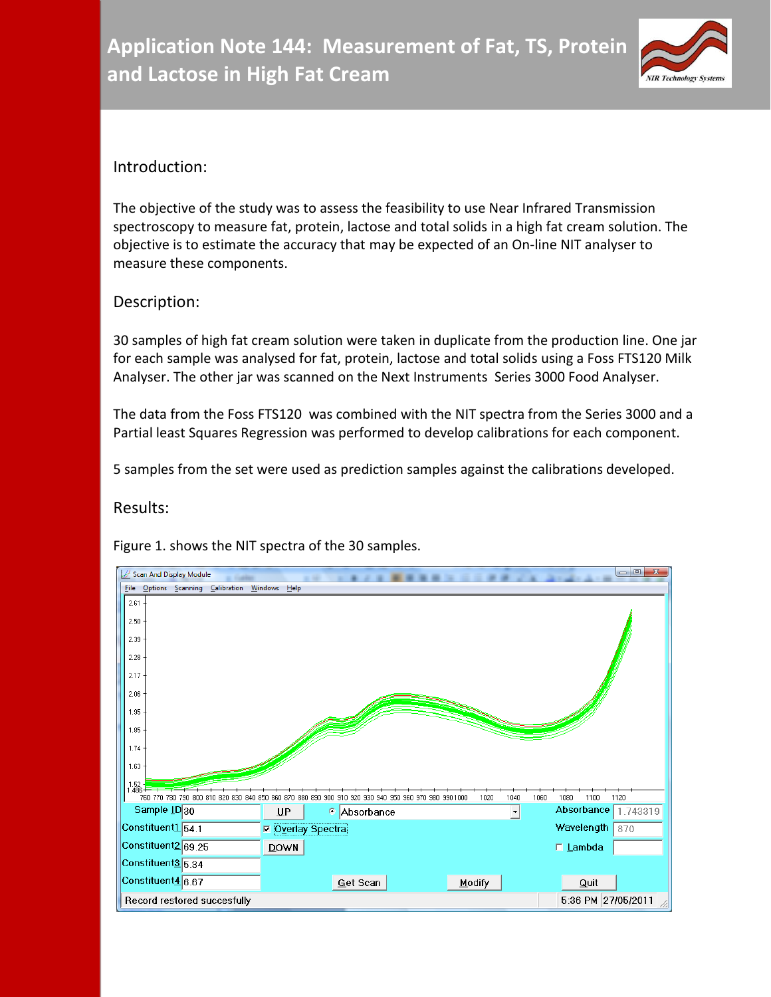

# Introduction:

The objective of the study was to assess the feasibility to use Near Infrared Transmission spectroscopy to measure fat, protein, lactose and total solids in a high fat cream solution. The objective is to estimate the accuracy that may be expected of an On-line NIT analyser to measure these components.

# Description:

30 samples of high fat cream solution were taken in duplicate from the production line. One jar for each sample was analysed for fat, protein, lactose and total solids using a Foss FTS120 Milk Analyser. The other jar was scanned on the Next Instruments Series 3000 Food Analyser.

The data from the Foss FTS120 was combined with the NIT spectra from the Series 3000 and a Partial least Squares Regression was performed to develop calibrations for each component.

5 samples from the set were used as prediction samples against the calibrations developed.

# Results:

Figure 1. shows the NIT spectra of the 30 samples.

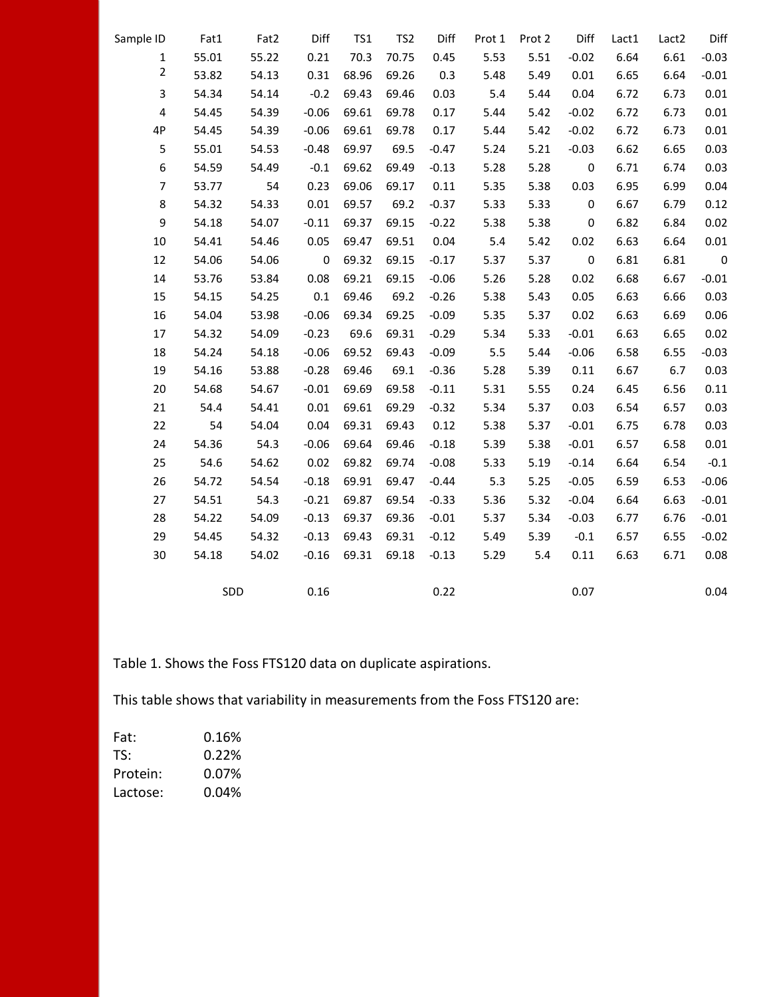| Sample ID               | Fat1  | Fat2  | Diff     | TS1   | TS <sub>2</sub> | Diff    | Prot 1 | Prot 2 | Diff             | Lact1 | Lact <sub>2</sub> | Diff                    |
|-------------------------|-------|-------|----------|-------|-----------------|---------|--------|--------|------------------|-------|-------------------|-------------------------|
| $\mathbf{1}$            | 55.01 | 55.22 | 0.21     | 70.3  | 70.75           | 0.45    | 5.53   | 5.51   | $-0.02$          | 6.64  | 6.61              | $-0.03$                 |
| $\overline{2}$          | 53.82 | 54.13 | 0.31     | 68.96 | 69.26           | 0.3     | 5.48   | 5.49   | 0.01             | 6.65  | 6.64              | $-0.01$                 |
| 3                       | 54.34 | 54.14 | $-0.2$   | 69.43 | 69.46           | 0.03    | 5.4    | 5.44   | 0.04             | 6.72  | 6.73              | 0.01                    |
| $\overline{\mathbf{4}}$ | 54.45 | 54.39 | $-0.06$  | 69.61 | 69.78           | 0.17    | 5.44   | 5.42   | $-0.02$          | 6.72  | 6.73              | 0.01                    |
| 4P                      | 54.45 | 54.39 | $-0.06$  | 69.61 | 69.78           | 0.17    | 5.44   | 5.42   | $-0.02$          | 6.72  | 6.73              | 0.01                    |
| 5                       | 55.01 | 54.53 | $-0.48$  | 69.97 | 69.5            | $-0.47$ | 5.24   | 5.21   | $-0.03$          | 6.62  | 6.65              | 0.03                    |
| 6                       | 54.59 | 54.49 | $-0.1$   | 69.62 | 69.49           | $-0.13$ | 5.28   | 5.28   | 0                | 6.71  | 6.74              | 0.03                    |
| $\overline{7}$          | 53.77 | 54    | 0.23     | 69.06 | 69.17           | 0.11    | 5.35   | 5.38   | 0.03             | 6.95  | 6.99              | 0.04                    |
| 8                       | 54.32 | 54.33 | 0.01     | 69.57 | 69.2            | $-0.37$ | 5.33   | 5.33   | 0                | 6.67  | 6.79              | 0.12                    |
| 9                       | 54.18 | 54.07 | $-0.11$  | 69.37 | 69.15           | $-0.22$ | 5.38   | 5.38   | $\pmb{0}$        | 6.82  | 6.84              | 0.02                    |
| 10                      | 54.41 | 54.46 | 0.05     | 69.47 | 69.51           | 0.04    | 5.4    | 5.42   | 0.02             | 6.63  | 6.64              | $0.01\,$                |
| 12                      | 54.06 | 54.06 | 0        | 69.32 | 69.15           | $-0.17$ | 5.37   | 5.37   | $\boldsymbol{0}$ | 6.81  | 6.81              | $\overline{\mathbf{0}}$ |
| 14                      | 53.76 | 53.84 | 0.08     | 69.21 | 69.15           | $-0.06$ | 5.26   | 5.28   | 0.02             | 6.68  | 6.67              | $-0.01$                 |
| 15                      | 54.15 | 54.25 | 0.1      | 69.46 | 69.2            | $-0.26$ | 5.38   | 5.43   | 0.05             | 6.63  | 6.66              | 0.03                    |
| 16                      | 54.04 | 53.98 | $-0.06$  | 69.34 | 69.25           | $-0.09$ | 5.35   | 5.37   | 0.02             | 6.63  | 6.69              | 0.06                    |
| 17                      | 54.32 | 54.09 | $-0.23$  | 69.6  | 69.31           | $-0.29$ | 5.34   | 5.33   | $-0.01$          | 6.63  | 6.65              | 0.02                    |
| 18                      | 54.24 | 54.18 | $-0.06$  | 69.52 | 69.43           | $-0.09$ | 5.5    | 5.44   | $-0.06$          | 6.58  | 6.55              | $-0.03$                 |
| 19                      | 54.16 | 53.88 | $-0.28$  | 69.46 | 69.1            | $-0.36$ | 5.28   | 5.39   | 0.11             | 6.67  | 6.7               | 0.03                    |
| 20                      | 54.68 | 54.67 | $-0.01$  | 69.69 | 69.58           | $-0.11$ | 5.31   | 5.55   | 0.24             | 6.45  | 6.56              | 0.11                    |
| 21                      | 54.4  | 54.41 | $0.01\,$ | 69.61 | 69.29           | $-0.32$ | 5.34   | 5.37   | 0.03             | 6.54  | 6.57              | 0.03                    |
| 22                      | 54    | 54.04 | 0.04     | 69.31 | 69.43           | 0.12    | 5.38   | 5.37   | $-0.01$          | 6.75  | 6.78              | 0.03                    |
| 24                      | 54.36 | 54.3  | $-0.06$  | 69.64 | 69.46           | $-0.18$ | 5.39   | 5.38   | $-0.01$          | 6.57  | 6.58              | 0.01                    |
| 25                      | 54.6  | 54.62 | 0.02     | 69.82 | 69.74           | $-0.08$ | 5.33   | 5.19   | $-0.14$          | 6.64  | 6.54              | $-0.1$                  |
| 26                      | 54.72 | 54.54 | $-0.18$  | 69.91 | 69.47           | $-0.44$ | 5.3    | 5.25   | $-0.05$          | 6.59  | 6.53              | $-0.06$                 |
| 27                      | 54.51 | 54.3  | $-0.21$  | 69.87 | 69.54           | $-0.33$ | 5.36   | 5.32   | $-0.04$          | 6.64  | 6.63              | $-0.01$                 |
| 28                      | 54.22 | 54.09 | $-0.13$  | 69.37 | 69.36           | $-0.01$ | 5.37   | 5.34   | $-0.03$          | 6.77  | 6.76              | $-0.01$                 |
| 29                      | 54.45 | 54.32 | $-0.13$  | 69.43 | 69.31           | $-0.12$ | 5.49   | 5.39   | $-0.1$           | 6.57  | 6.55              | $-0.02$                 |
| $30\,$                  | 54.18 | 54.02 | $-0.16$  | 69.31 | 69.18           | $-0.13$ | 5.29   | 5.4    | 0.11             | 6.63  | 6.71              | 0.08                    |
|                         |       | SDD   | 0.16     |       |                 | 0.22    |        |        | 0.07             |       |                   | 0.04                    |

Table 1. Shows the Foss FTS120 data on duplicate aspirations.

This table shows that variability in measurements from the Foss FTS120 are:

| Fat:     | 0.16% |
|----------|-------|
| TS:      | 0.22% |
| Protein: | 0.07% |
| Lactose: | 0.04% |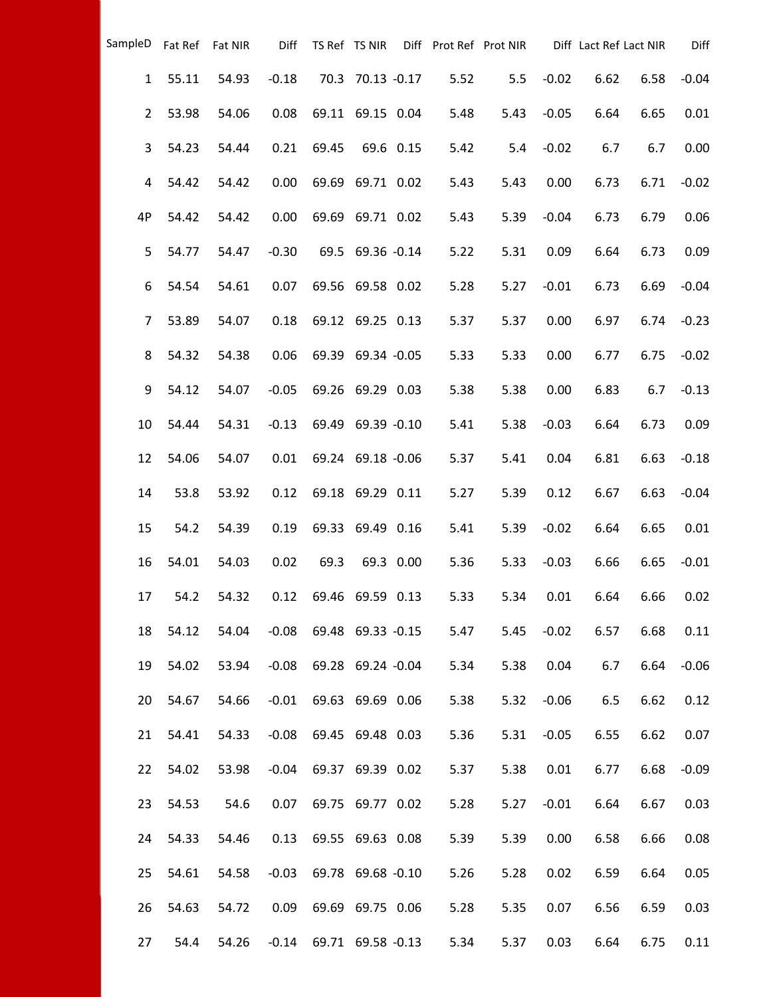| SampleD        |       | Fat Ref Fat NIR | Diff    |       | TS Ref TS NIR     |           | Diff Prot Ref Prot NIR |      |         | Diff Lact Ref Lact NIR |      | Diff    |
|----------------|-------|-----------------|---------|-------|-------------------|-----------|------------------------|------|---------|------------------------|------|---------|
| $\mathbf{1}$   | 55.11 | 54.93           | $-0.18$ |       | 70.3 70.13 -0.17  |           | 5.52                   | 5.5  | $-0.02$ | 6.62                   | 6.58 | $-0.04$ |
| $\overline{2}$ | 53.98 | 54.06           | 0.08    |       | 69.11 69.15 0.04  |           | 5.48                   | 5.43 | $-0.05$ | 6.64                   | 6.65 | 0.01    |
| 3              | 54.23 | 54.44           | 0.21    | 69.45 |                   | 69.6 0.15 | 5.42                   | 5.4  | $-0.02$ | 6.7                    | 6.7  | 0.00    |
| 4              | 54.42 | 54.42           | 0.00    |       | 69.69 69.71 0.02  |           | 5.43                   | 5.43 | 0.00    | 6.73                   | 6.71 | $-0.02$ |
| 4P             | 54.42 | 54.42           | 0.00    |       | 69.69 69.71 0.02  |           | 5.43                   | 5.39 | $-0.04$ | 6.73                   | 6.79 | 0.06    |
| 5              | 54.77 | 54.47           | $-0.30$ |       | 69.5 69.36 -0.14  |           | 5.22                   | 5.31 | 0.09    | 6.64                   | 6.73 | 0.09    |
| 6              | 54.54 | 54.61           | 0.07    |       | 69.56 69.58 0.02  |           | 5.28                   | 5.27 | $-0.01$ | 6.73                   | 6.69 | $-0.04$ |
| $\overline{7}$ | 53.89 | 54.07           | 0.18    |       | 69.12 69.25 0.13  |           | 5.37                   | 5.37 | 0.00    | 6.97                   | 6.74 | $-0.23$ |
| 8              | 54.32 | 54.38           | 0.06    |       | 69.39 69.34 -0.05 |           | 5.33                   | 5.33 | 0.00    | 6.77                   | 6.75 | $-0.02$ |
| 9              | 54.12 | 54.07           | $-0.05$ |       | 69.26 69.29 0.03  |           | 5.38                   | 5.38 | 0.00    | 6.83                   | 6.7  | $-0.13$ |
| 10             | 54.44 | 54.31           | $-0.13$ |       | 69.49 69.39 -0.10 |           | 5.41                   | 5.38 | $-0.03$ | 6.64                   | 6.73 | 0.09    |
| 12             | 54.06 | 54.07           | 0.01    |       | 69.24 69.18 -0.06 |           | 5.37                   | 5.41 | 0.04    | 6.81                   | 6.63 | $-0.18$ |
| 14             | 53.8  | 53.92           | 0.12    |       | 69.18 69.29 0.11  |           | 5.27                   | 5.39 | 0.12    | 6.67                   | 6.63 | $-0.04$ |
| 15             | 54.2  | 54.39           | 0.19    |       | 69.33 69.49 0.16  |           | 5.41                   | 5.39 | $-0.02$ | 6.64                   | 6.65 | 0.01    |
| 16             | 54.01 | 54.03           | 0.02    | 69.3  |                   | 69.3 0.00 | 5.36                   | 5.33 | $-0.03$ | 6.66                   | 6.65 | $-0.01$ |
| 17             | 54.2  | 54.32           | 0.12    |       | 69.46 69.59 0.13  |           | 5.33                   | 5.34 | 0.01    | 6.64                   | 6.66 | 0.02    |
| 18             | 54.12 | 54.04           | $-0.08$ |       | 69.48 69.33 -0.15 |           | 5.47                   | 5.45 | $-0.02$ | 6.57                   | 6.68 | 0.11    |
| 19             | 54.02 | 53.94           | $-0.08$ |       | 69.28 69.24 -0.04 |           | 5.34                   | 5.38 | 0.04    | 6.7                    | 6.64 | $-0.06$ |
| 20             | 54.67 | 54.66           | $-0.01$ |       | 69.63 69.69 0.06  |           | 5.38                   | 5.32 | $-0.06$ | 6.5                    | 6.62 | 0.12    |
| 21             | 54.41 | 54.33           | $-0.08$ |       | 69.45 69.48 0.03  |           | 5.36                   | 5.31 | $-0.05$ | 6.55                   | 6.62 | 0.07    |
| 22             | 54.02 | 53.98           | $-0.04$ |       | 69.37 69.39 0.02  |           | 5.37                   | 5.38 | 0.01    | 6.77                   | 6.68 | $-0.09$ |
| 23             | 54.53 | 54.6            | 0.07    |       | 69.75 69.77 0.02  |           | 5.28                   | 5.27 | $-0.01$ | 6.64                   | 6.67 | 0.03    |
| 24             | 54.33 | 54.46           | 0.13    |       | 69.55 69.63 0.08  |           | 5.39                   | 5.39 | 0.00    | 6.58                   | 6.66 | 0.08    |
| 25             | 54.61 | 54.58           | $-0.03$ |       | 69.78 69.68 -0.10 |           | 5.26                   | 5.28 | 0.02    | 6.59                   | 6.64 | 0.05    |
| 26             | 54.63 | 54.72           | 0.09    |       | 69.69 69.75 0.06  |           | 5.28                   | 5.35 | 0.07    | 6.56                   | 6.59 | 0.03    |
| 27             | 54.4  | 54.26           | $-0.14$ |       | 69.71 69.58 -0.13 |           | 5.34                   | 5.37 | 0.03    | 6.64                   | 6.75 | 0.11    |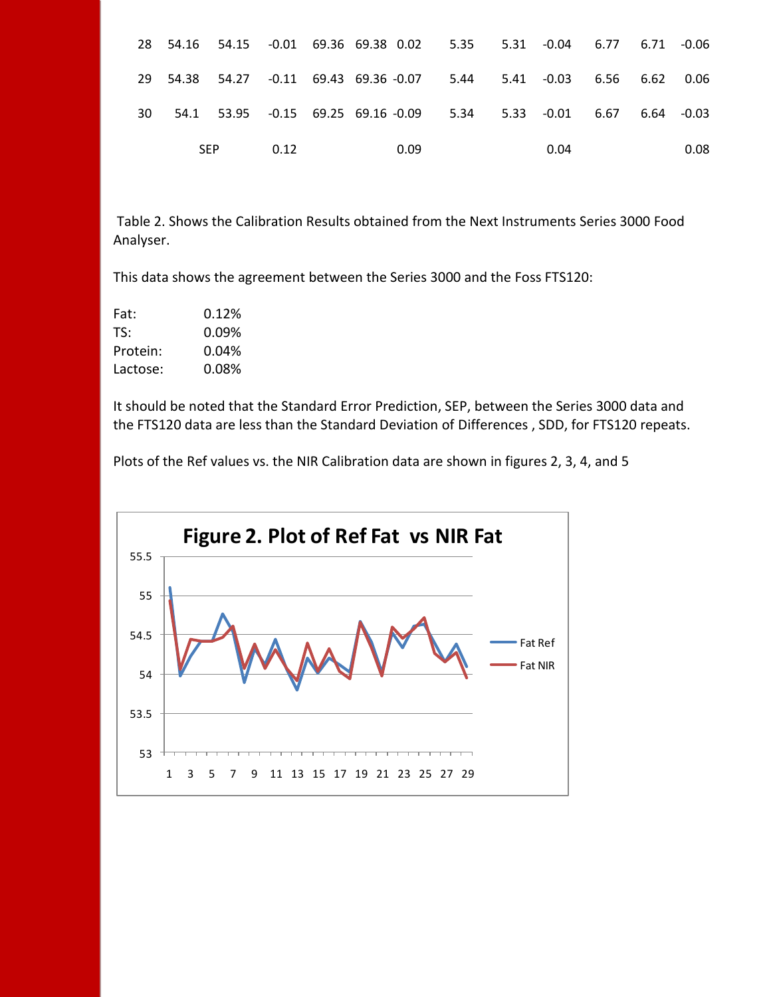|      |            |      |  |      | 28 54.16 54.15 -0.01 69.36 69.38 0.02 5.35 5.31 -0.04 6.77 6.71 -0.06 |      |  |      |
|------|------------|------|--|------|-----------------------------------------------------------------------|------|--|------|
|      |            |      |  |      | 29 54.38 54.27 -0.11 69.43 69.36 -0.07 5.44 5.41 -0.03 6.56 6.62 0.06 |      |  |      |
| 30 · |            |      |  |      | 54.1 53.95 -0.15 69.25 69.16 -0.09 5.34 5.33 -0.01 6.67 6.64 -0.03    |      |  |      |
|      | <b>SEP</b> | 0.12 |  | 0.09 |                                                                       | 0.04 |  | 0.08 |

Table 2. Shows the Calibration Results obtained from the Next Instruments Series 3000 Food Analyser.

This data shows the agreement between the Series 3000 and the Foss FTS120:

| Fat:     | 0.12%    |
|----------|----------|
| TS:      | $0.09\%$ |
| Protein: | 0.04%    |
| Lactose: | 0.08%    |

It should be noted that the Standard Error Prediction, SEP, between the Series 3000 data and the FTS120 data are less than the Standard Deviation of Differences , SDD, for FTS120 repeats.

Plots of the Ref values vs. the NIR Calibration data are shown in figures 2, 3, 4, and 5

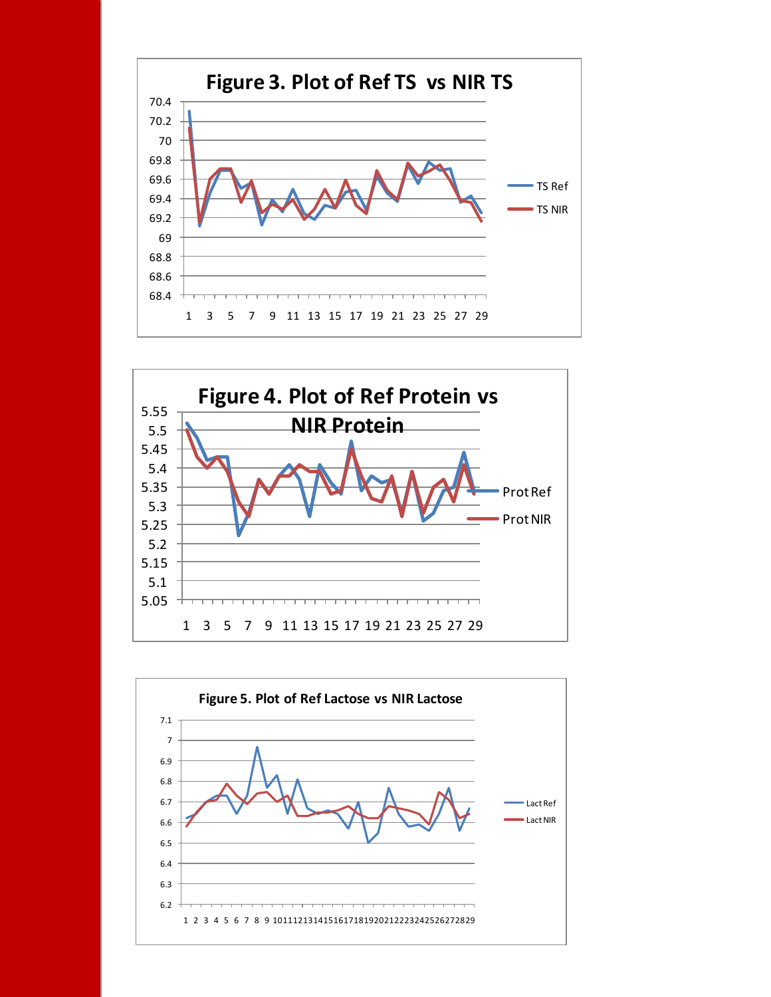